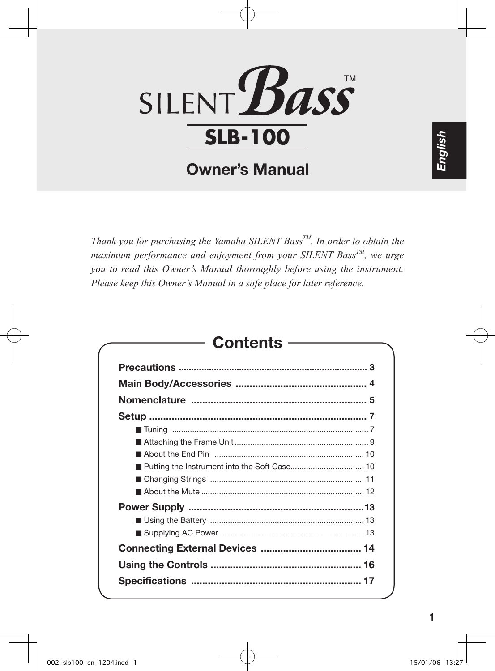

## Owner's Manual

*Thank you for purchasing the Yamaha SILENT BassTM. In order to obtain the maximum performance and enjoyment from your SILENT BassTM, we urge you to read this Owner's Manual thoroughly before using the instrument. Please keep this Owner's Manual in a safe place for later reference.*

## **Contents**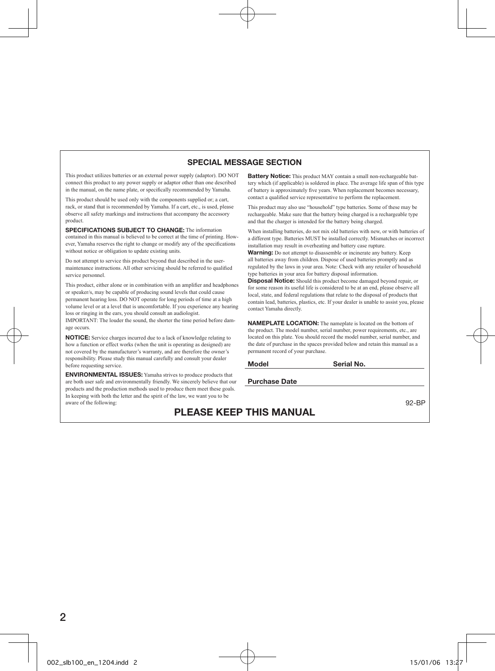#### SPECIAL MESSAGE SECTION

This product utilizes batteries or an external power supply (adaptor). DO NOT connect this product to any power supply or adaptor other than one described in the manual, on the name plate, or specifically recommended by Yamaha.

This product should be used only with the components supplied or; a cart, rack, or stand that is recommended by Yamaha. If a cart, etc., is used, please observe all safety markings and instructions that accompany the accessory product.

SPECIFICATIONS SUBJECT TO CHANGE: The information contained in this manual is believed to be correct at the time of printing. However, Yamaha reserves the right to change or modify any of the specifications without notice or obligation to update existing units.

Do not attempt to service this product beyond that described in the usermaintenance instructions. All other servicing should be referred to qualified service personnel.

This product, either alone or in combination with an amplifier and headphones or speaker/s, may be capable of producing sound levels that could cause permanent hearing loss. DO NOT operate for long periods of time at a high volume level or at a level that is uncomfortable. If you experience any hearing loss or ringing in the ears, you should consult an audiologist. IMPORTANT: The louder the sound, the shorter the time period before damage occurs.

NOTICE: Service charges incurred due to a lack of knowledge relating to how a function or effect works (when the unit is operating as designed) are not covered by the manufacturer's warranty, and are therefore the owner's responsibility. Please study this manual carefully and consult your dealer before requesting service.

ENVIRONMENTAL ISSUES: Yamaha strives to produce products that are both user safe and environmentally friendly. We sincerely believe that our products and the production methods used to produce them meet these goals. In keeping with both the letter and the spirit of the law, we want you to be aware of the following:

Battery Notice: This product MAY contain a small non-rechargeable battery which (if applicable) is soldered in place. The average life span of this type of battery is approximately five years. When replacement becomes necessary, contact a qualified service representative to perform the replacement.

This product may also use "household" type batteries. Some of these may be rechargeable. Make sure that the battery being charged is a rechargeable type and that the charger is intended for the battery being charged.

When installing batteries, do not mix old batteries with new, or with batteries of a different type. Batteries MUST be installed correctly. Mismatches or incorrect installation may result in overheating and battery case rupture.

Warning: Do not attempt to disassemble or incinerate any battery. Keep all batteries away from children. Dispose of used batteries promptly and as regulated by the laws in your area. Note: Check with any retailer of household type batteries in your area for battery disposal information.

Disposal Notice: Should this product become damaged beyond repair, or for some reason its useful life is considered to be at an end, please observe all local, state, and federal regulations that relate to the disposal of products that contain lead, batteries, plastics, etc. If your dealer is unable to assist you, please contact Yamaha directly.

NAMEPLATE LOCATION: The nameplate is located on the bottom of the product. The model number, serial number, power requirements, etc., are located on this plate. You should record the model number, serial number, and the date of purchase in the spaces provided below and retain this manual as a permanent record of your purchase.

| Model |  |  |
|-------|--|--|
|       |  |  |

Serial No.

Purchase Date

92-BP

## PLEASE KEEP THIS MANUAL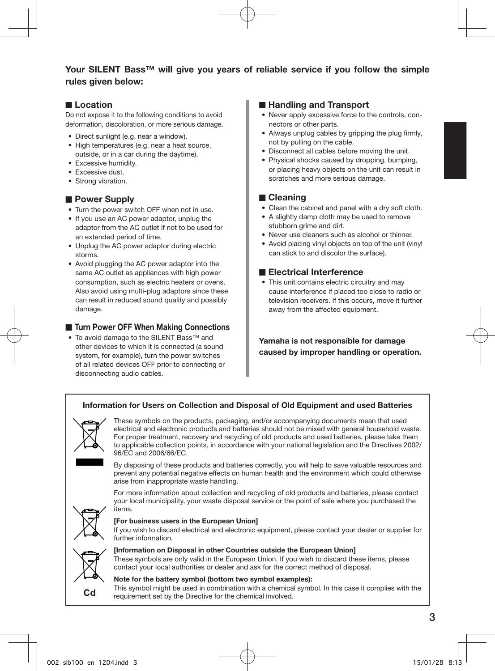### Your SILENT Bass™ will give you years of reliable service if you follow the simple rules given below:

### ■ Location

Do not expose it to the following conditions to avoid deformation, discoloration, or more serious damage.

- Direct sunlight (e.g. near a window).
- High temperatures (e.g. near a heat source, outside, or in a car during the daytime).
- Excessive humidity.
- Excessive dust.
- Strong vibration.

#### ■ Power Supply

- Turn the power switch OFF when not in use.
- If you use an AC power adaptor, unplug the adaptor from the AC outlet if not to be used for an extended period of time.
- Unplug the AC power adaptor during electric storms.
- Avoid plugging the AC power adaptor into the same AC outlet as appliances with high power consumption, such as electric heaters or ovens. Also avoid using multi-plug adaptors since these can result in reduced sound quality and possibly damage.

### ■ Turn Power OFF When Making Connections

• To avoid damage to the SILENT Bass™ and other devices to which it is connected (a sound system, for example), turn the power switches of all related devices OFF prior to connecting or disconnecting audio cables.

### ■ Handling and Transport

- Never apply excessive force to the controls, connectors or other parts.
- Always unplug cables by gripping the plug firmly. not by pulling on the cable.
- Disconnect all cables before moving the unit.
- Physical shocks caused by dropping, bumping, or placing heavy objects on the unit can result in scratches and more serious damage.

### ■ Cleaning

- Clean the cabinet and panel with a dry soft cloth.
- A slightly damp cloth may be used to remove stubborn grime and dirt.
- Never use cleaners such as alcohol or thinner.
- Avoid placing vinyl objects on top of the unit (vinyl can stick to and discolor the surface).

### ■ Electrical Interference

• This unit contains electric circuitry and may cause interference if placed too close to radio or television receivers. If this occurs, move it further away from the affected equipment.

Yamaha is not responsible for damage caused by improper handling or operation.

### Information for Users on Collection and Disposal of Old Equipment and used Batteries



These symbols on the products, packaging, and/or accompanying documents mean that used electrical and electronic products and batteries should not be mixed with general household waste. For proper treatment, recovery and recycling of old products and used batteries, please take them to applicable collection points, in accordance with your national legislation and the Directives 2002/ 96/EC and 2006/66/EC.

By disposing of these products and batteries correctly, you will help to save valuable resources and prevent any potential negative effects on human health and the environment which could otherwise arise from inappropriate waste handling.

For more information about collection and recycling of old products and batteries, please contact your local municipality, your waste disposal service or the point of sale where you purchased the items.



#### [For business users in the European Union]

If you wish to discard electrical and electronic equipment, please contact your dealer or supplier for further information.



[Information on Disposal in other Countries outside the European Union] These symbols are only valid in the European Union. If you wish to discard these items, please contact your local authorities or dealer and ask for the correct method of disposal.

#### Note for the battery symbol (bottom two symbol examples): This symbol might be used in combination with a chemical symbol. In this case it complies with the requirement set by the Directive for the chemical involved.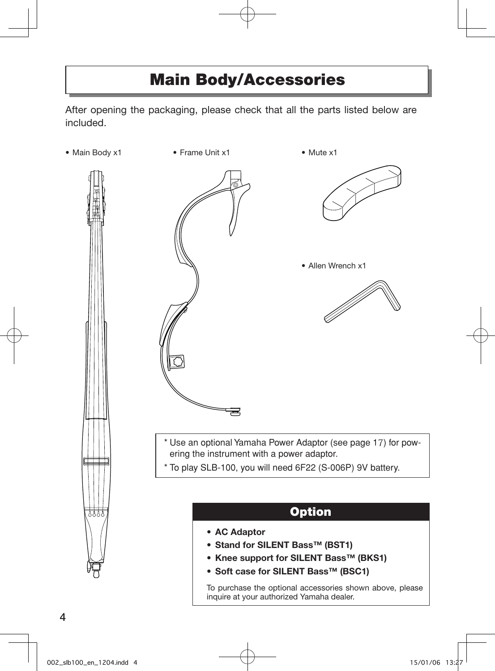## Main Body/Accessories

After opening the packaging, please check that all the parts listed below are included.

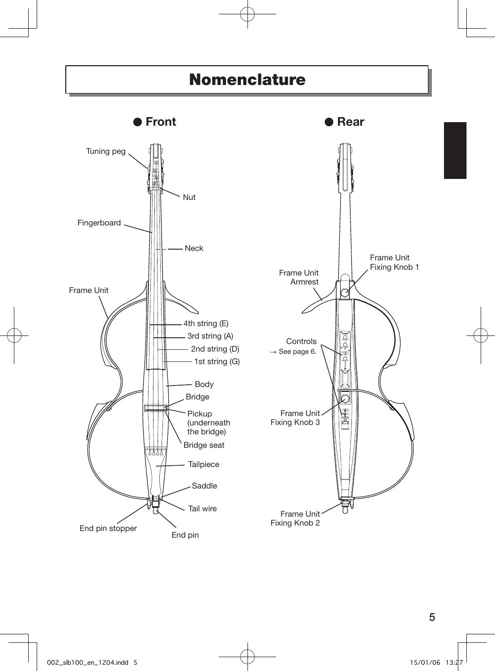## Nomenclature

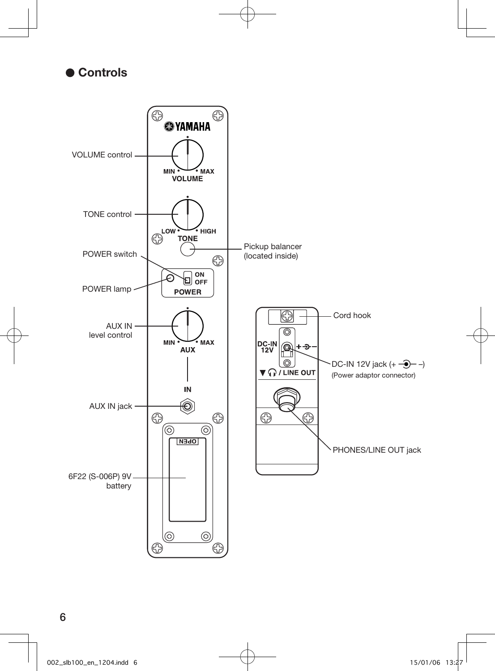



6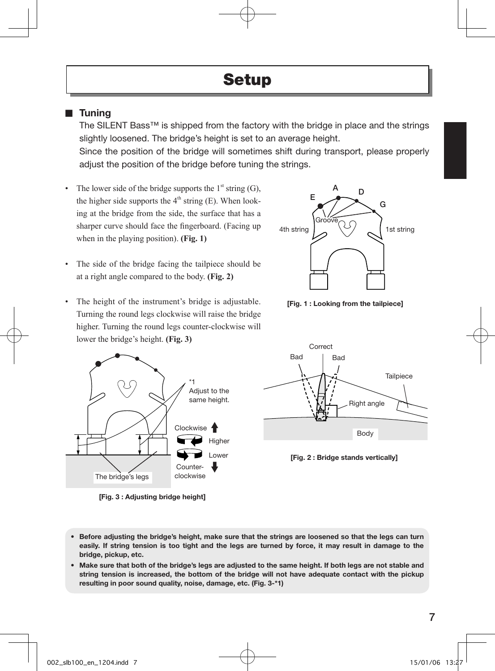## **Setup**

## ■ Tuning

The SILENT Bass™ is shipped from the factory with the bridge in place and the strings slightly loosened. The bridge's height is set to an average height.

Since the position of the bridge will sometimes shift during transport, please properly adjust the position of the bridge before tuning the strings.

- The lower side of the bridge supports the  $1<sup>st</sup>$  string (G), the higher side supports the  $4<sup>th</sup>$  string (E). When looking at the bridge from the side, the surface that has a sharper curve should face the fingerboard. (Facing up when in the playing position). **(Fig. 1)**
- The side of the bridge facing the tailpiece should be at a right angle compared to the body. **(Fig. 2)**
- The height of the instrument's bridge is adjustable. Turning the round legs clockwise will raise the bridge higher. Turning the round legs counter-clockwise will lower the bridge's height. **(Fig. 3)**



[Fig. 3 : Adjusting bridge height]



[Fig. 1 : Looking from the tailpiece]





- Before adjusting the bridge's height, make sure that the strings are loosened so that the legs can turn easily. If string tension is too tight and the legs are turned by force, it may result in damage to the bridge, pickup, etc.
- Make sure that both of the bridge's legs are adjusted to the same height. If both legs are not stable and string tension is increased, the bottom of the bridge will not have adequate contact with the pickup resulting in poor sound quality, noise, damage, etc. (Fig. 3-\*1)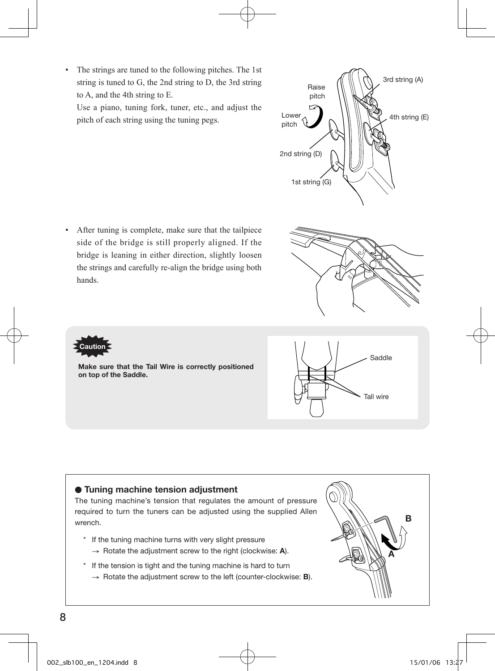• The strings are tuned to the following pitches. The 1st string is tuned to G, the 2nd string to D, the 3rd string to A, and the 4th string to E.

Use a piano, tuning fork, tuner, etc., and adjust the pitch of each string using the tuning pegs.

• After tuning is complete, make sure that the tailpiece side of the bridge is still properly aligned. If the bridge is leaning in either direction, slightly loosen the strings and carefully re-align the bridge using both hands.

Make sure that the Tail Wire is correctly positioned

on top of the Saddle.

Caution

- Tuning machine tension adjustment
- The tuning machine's tension that regulates the amount of pressure required to turn the tuners can be adjusted using the supplied Allen wrench.
	- \* If the tuning machine turns with very slight pressure  $\rightarrow$  Rotate the adjustment screw to the right (clockwise: A).
	- \* If the tension is tight and the tuning machine is hard to turn  $\rightarrow$  Rotate the adjustment screw to the left (counter-clockwise: **B**).







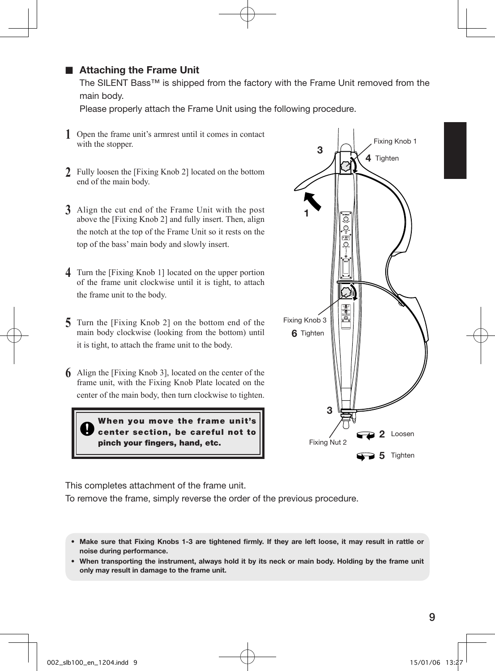## ■ Attaching the Frame Unit

The SILENT Bass™ is shipped from the factory with the Frame Unit removed from the main body.

Please properly attach the Frame Unit using the following procedure.

- **1** Open the frame unit's armrest until it comes in contact with the stopper.
- **2** Fully loosen the [Fixing Knob 2] located on the bottom end of the main body.
- **3** Align the cut end of the Frame Unit with the post above the [Fixing Knob 2] and fully insert. Then, align the notch at the top of the Frame Unit so it rests on the top of the bass' main body and slowly insert.
- **4** Turn the [Fixing Knob 1] located on the upper portion of the frame unit clockwise until it is tight, to attach the frame unit to the body.
- **5** Turn the [Fixing Knob 2] on the bottom end of the main body clockwise (looking from the bottom) until it is tight, to attach the frame unit to the body.
- **6** Align the [Fixing Knob 3], located on the center of the frame unit, with the Fixing Knob Plate located on the center of the main body, then turn clockwise to tighten.

When you move the frame unit's center section, be careful not to pinch your fingers, hand, etc.



This completes attachment of the frame unit.

To remove the frame, simply reverse the order of the previous procedure.

- Make sure that Fixing Knobs 1-3 are tightened firmly. If they are left loose, it may result in rattle or noise during performance.
- When transporting the instrument, always hold it by its neck or main body. Holding by the frame unit only may result in damage to the frame unit.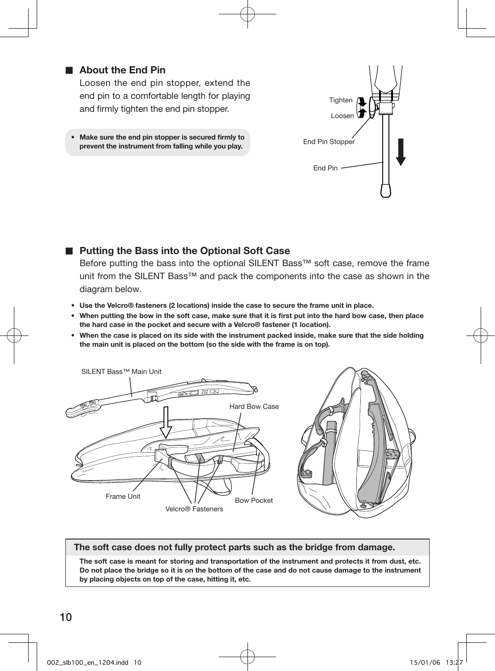## ■ About the End Pin

Loosen the end pin stopper, extend the end pin to a comfortable length for playing and firmly tighten the end pin stopper.

• Make sure the end pin stopper is secured firmly to prevent the instrument from falling while you play.



### ■ Putting the Bass into the Optional Soft Case

Before putting the bass into the optional SILENT Bass™ soft case, remove the frame unit from the SILENT Bass™ and pack the components into the case as shown in the diagram below.

- Use the Velcro® fasteners (2 locations) inside the case to secure the frame unit in place.
- When putting the bow in the soft case, make sure that it is first put into the hard bow case, then place the hard case in the pocket and secure with a Velcro® fastener (1 location).
- When the case is placed on its side with the instrument packed inside, make sure that the side holding the main unit is placed on the bottom (so the side with the frame is on top).



#### The soft case does not fully protect parts such as the bridge from damage.

The soft case is meant for storing and transportation of the instrument and protects it from dust, etc. Do not place the bridge so it is on the bottom of the case and do not cause damage to the instrument by placing objects on top of the case, hitting it, etc.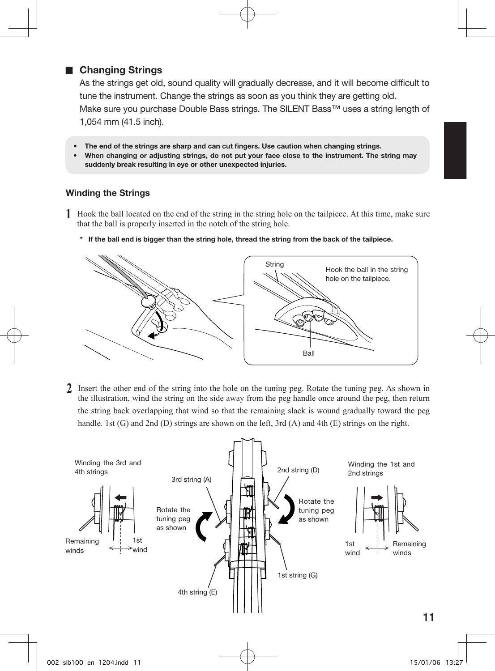## ■ Changing Strings

As the strings get old, sound quality will gradually decrease, and it will become difficult to tune the instrument. Change the strings as soon as you think they are getting old. Make sure you purchase Double Bass strings. The SILENT Bass™ uses a string length of 1,054 mm (41.5 inch).

- The end of the strings are sharp and can cut fingers. Use caution when changing strings.
- When changing or adjusting strings, do not put your face close to the instrument. The string may suddenly break resulting in eye or other unexpected injuries.

### Winding the Strings

- **1** Hook the ball located on the end of the string in the string hole on the tailpiece. At this time, make sure that the ball is properly inserted in the notch of the string hole.
	- \* If the ball end is bigger than the string hole, thread the string from the back of the tailpiece.



**2** Insert the other end of the string into the hole on the tuning peg. Rotate the tuning peg. As shown in the illustration, wind the string on the side away from the peg handle once around the peg, then return the string back overlapping that wind so that the remaining slack is wound gradually toward the peg handle. 1st (G) and 2nd (D) strings are shown on the left, 3rd (A) and 4th (E) strings on the right.

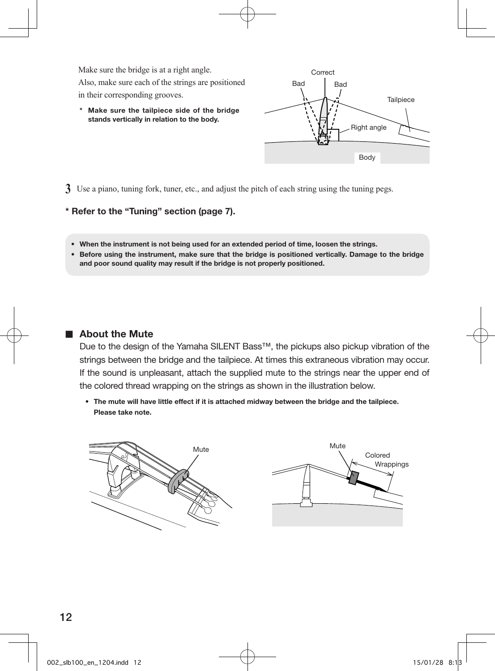Make sure the bridge is at a right angle.

Also, make sure each of the strings are positioned in their corresponding grooves.

\* Make sure the tailpiece side of the bridge stands vertically in relation to the body.



**3** Use a piano, tuning fork, tuner, etc., and adjust the pitch of each string using the tuning pegs.

#### \* Refer to the "Tuning" section (page 7).

- When the instrument is not being used for an extended period of time, loosen the strings.
- Before using the instrument, make sure that the bridge is positioned vertically. Damage to the bridge and poor sound quality may result if the bridge is not properly positioned.

#### ■ About the Mute

Due to the design of the Yamaha SILENT Bass™, the pickups also pickup vibration of the strings between the bridge and the tailpiece. At times this extraneous vibration may occur. If the sound is unpleasant, attach the supplied mute to the strings near the upper end of the colored thread wrapping on the strings as shown in the illustration below.

• The mute will have little effect if it is attached midway between the bridge and the tailpiece. Please take note.

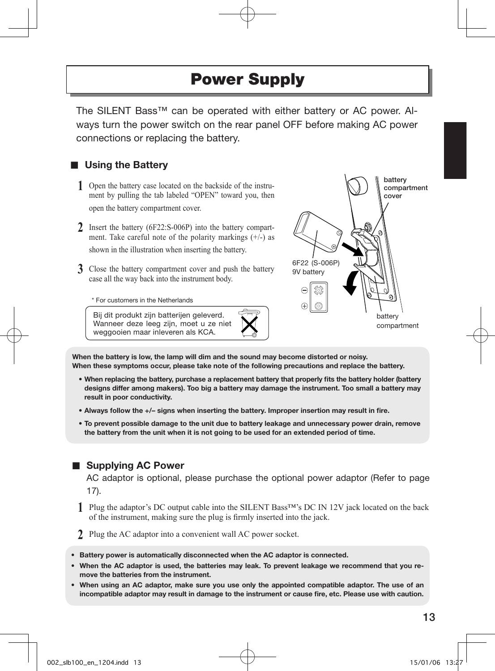## Power Supply

The SILENT Bass™ can be operated with either battery or AC power. Always turn the power switch on the rear panel OFF before making AC power connections or replacing the battery.

## ■ Using the Battery

- **1** Open the battery case located on the backside of the instrument by pulling the tab labeled "OPEN" toward you, then open the battery compartment cover.
- **2** Insert the battery (6F22:S-006P) into the battery compartment. Take careful note of the polarity markings  $(+/-)$  as shown in the illustration when inserting the battery.
- **3** Close the battery compartment cover and push the battery case all the way back into the instrument body.

\* For customers in the Netherlands

Bij dit produkt zijn batterijen geleverd. Wanneer deze leeg zijn, moet u ze niet weggooien maar inleveren als KCA.



When the battery is low, the lamp will dim and the sound may become distorted or noisy. When these symptoms occur, please take note of the following precautions and replace the battery.

- When replacing the battery, purchase a replacement battery that properly fits the battery holder (battery designs differ among makers). Too big a battery may damage the instrument. Too small a battery may result in poor conductivity.
- Always follow the +/– signs when inserting the battery. Improper insertion may result in fire.
- To prevent possible damage to the unit due to battery leakage and unnecessary power drain, remove the battery from the unit when it is not going to be used for an extended period of time.

## ■ Supplying AC Power

AC adaptor is optional, please purchase the optional power adaptor (Refer to page 17).

- **1** Plug the adaptor's DC output cable into the SILENT Bass™'s DC IN 12V jack located on the back of the instrument, making sure the plug is firmly inserted into the jack.
- **2** Plug the AC adaptor into a convenient wall AC power socket.
- Battery power is automatically disconnected when the AC adaptor is connected.
- When the AC adaptor is used, the batteries may leak. To prevent leakage we recommend that you remove the batteries from the instrument.
- When using an AC adaptor, make sure you use only the appointed compatible adaptor. The use of an incompatible adaptor may result in damage to the instrument or cause fire, etc. Please use with caution.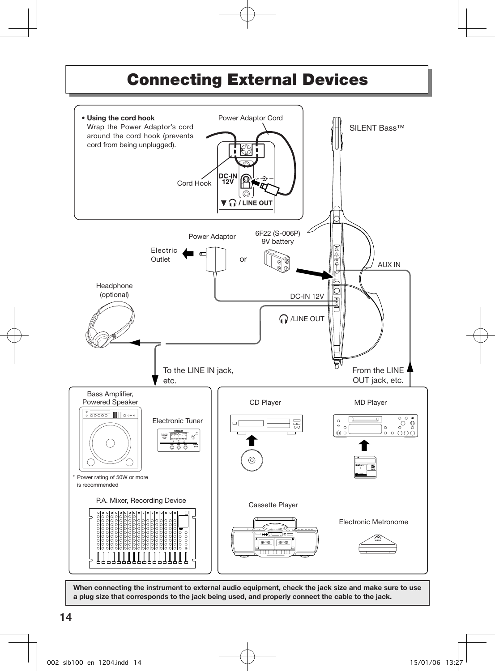## Connecting External Devices



When connecting the instrument to external audio equipment, check the jack size and make sure to use a plug size that corresponds to the jack being used, and properly connect the cable to the jack.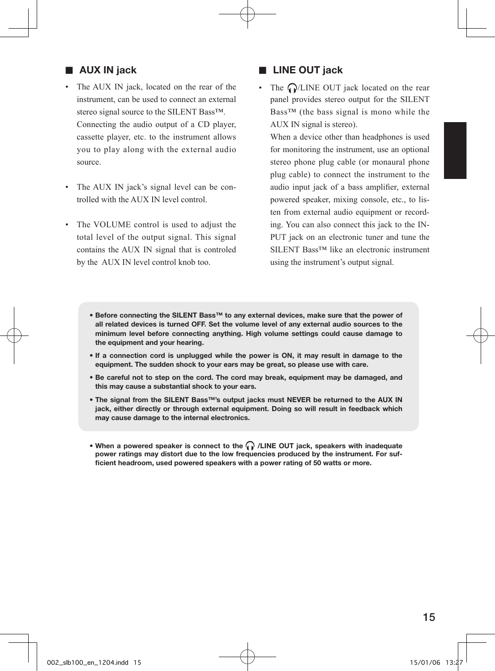## ■ AUX IN jack

- The AUX IN jack, located on the rear of the instrument, can be used to connect an external stereo signal source to the SILENT Bass<sup>™.</sup> Connecting the audio output of a CD player, cassette player, etc. to the instrument allows you to play along with the external audio source.
- The AUX IN jack's signal level can be controlled with the AUX IN level control.
- The VOLUME control is used to adjust the total level of the output signal. This signal contains the AUX IN signal that is controled by the AUX IN level control knob too.

## ■ LINE OUT jack

• The  $\bigcap /$ LINE OUT jack located on the rear panel provides stereo output for the SILENT Bass™ (the bass signal is mono while the AUX IN signal is stereo).

When a device other than headphones is used for monitoring the instrument, use an optional stereo phone plug cable (or monaural phone plug cable) to connect the instrument to the audio input jack of a bass amplifier, external powered speaker, mixing console, etc., to listen from external audio equipment or recording. You can also connect this jack to the IN-PUT jack on an electronic tuner and tune the SILENT Bass™ like an electronic instrument using the instrument's output signal.

- Before connecting the SILENT Bass™ to any external devices, make sure that the power of all related devices is turned OFF. Set the volume level of any external audio sources to the minimum level before connecting anything. High volume settings could cause damage to the equipment and your hearing.
- If a connection cord is unplugged while the power is ON, it may result in damage to the equipment. The sudden shock to your ears may be great, so please use with care.
- Be careful not to step on the cord. The cord may break, equipment may be damaged, and this may cause a substantial shock to your ears.
- The signal from the SILENT Bass™'s output jacks must NEVER be returned to the AUX IN jack, either directly or through external equipment. Doing so will result in feedback which may cause damage to the internal electronics.
- When a powered speaker is connect to the  $\bigcap$  /LINE OUT jack, speakers with inadequate power ratings may distort due to the low frequencies produced by the instrument. For sufficient headroom, used powered speakers with a power rating of 50 watts or more.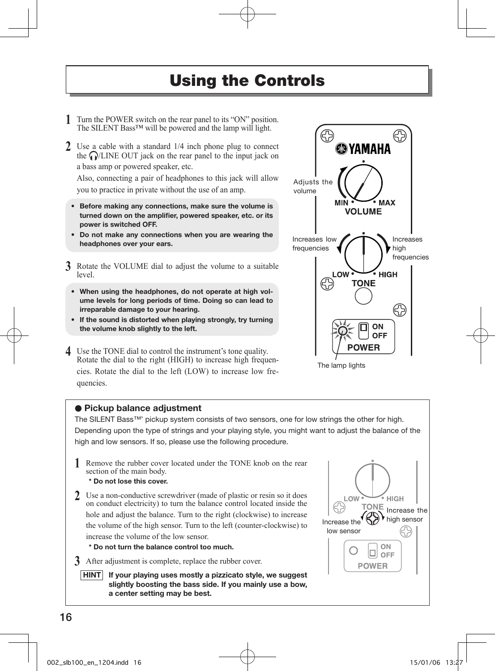## Using the Controls

- **1** Turn the POWER switch on the rear panel to its "ON" position. The SILENT Bass™ will be powered and the lamp will light.
- **2** Use a cable with a standard 1/4 inch phone plug to connect the  $\bigcap$ /LINE OUT jack on the rear panel to the input jack on a bass amp or powered speaker, etc.

Also, connecting a pair of headphones to this jack will allow you to practice in private without the use of an amp.

- Before making any connections, make sure the volume is turned down on the amplifier, powered speaker, etc. or its power is switched OFF.
- Do not make any connections when you are wearing the headphones over your ears.
- **3** Rotate the VOLUME dial to adjust the volume to a suitable level.
	- When using the headphones, do not operate at high volume levels for long periods of time. Doing so can lead to irreparable damage to your hearing.
	- If the sound is distorted when playing strongly, try turning the volume knob slightly to the left.

**4** Use the TONE dial to control the instrument's tone quality. Rotate the dial to the right (HIGH) to increase high frequencies. Rotate the dial to the left (LOW) to increase low frequencies.



The lamp lights

#### ● Pickup balance adiustment

The SILENT Bass™' pickup system consists of two sensors, one for low strings the other for high. Depending upon the type of strings and your playing style, you might want to adjust the balance of the high and low sensors. If so, please use the following procedure.

**1** Remove the rubber cover located under the TONE knob on the rear section of the main body.

#### \* Do not lose this cover.

**2** Use a non-conductive screwdriver (made of plastic or resin so it does on conduct electricity) to turn the balance control located inside the hole and adjust the balance. Turn to the right (clockwise) to increase the volume of the high sensor. Turn to the left (counter-clockwise) to increase the volume of the low sensor.

\* Do not turn the balance control too much.

**3** After adjustment is complete, replace the rubber cover.

 $HINT$  If your playing uses mostly a pizzicato style, we suggest slightly boosting the bass side. If you mainly use a bow, a center setting may be best.

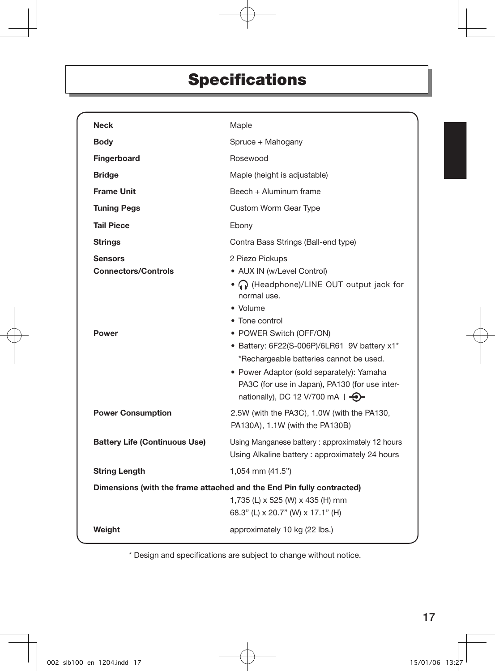# Specifications

| <b>Neck</b>                                                  | Maple                                                                                                                                                                                                                                                                                                                                                                                                         |  |
|--------------------------------------------------------------|---------------------------------------------------------------------------------------------------------------------------------------------------------------------------------------------------------------------------------------------------------------------------------------------------------------------------------------------------------------------------------------------------------------|--|
| <b>Body</b>                                                  | Spruce + Mahogany                                                                                                                                                                                                                                                                                                                                                                                             |  |
| Fingerboard                                                  | Rosewood                                                                                                                                                                                                                                                                                                                                                                                                      |  |
| <b>Bridge</b>                                                | Maple (height is adjustable)                                                                                                                                                                                                                                                                                                                                                                                  |  |
| <b>Frame Unit</b>                                            | Beech + Aluminum frame                                                                                                                                                                                                                                                                                                                                                                                        |  |
| <b>Tuning Pegs</b>                                           | Custom Worm Gear Type                                                                                                                                                                                                                                                                                                                                                                                         |  |
| <b>Tail Piece</b>                                            | Ebony                                                                                                                                                                                                                                                                                                                                                                                                         |  |
| <b>Strings</b>                                               | Contra Bass Strings (Ball-end type)                                                                                                                                                                                                                                                                                                                                                                           |  |
| <b>Sensors</b><br><b>Connectors/Controls</b><br><b>Power</b> | 2 Piezo Pickups<br>• AUX IN (w/Level Control)<br>• • • (Headphone)/LINE OUT output jack for<br>normal use.<br>• Volume<br>• Tone control<br>• POWER Switch (OFF/ON)<br>• Battery: 6F22(S-006P)/6LR61 9V battery x1*<br>*Rechargeable batteries cannot be used.<br>• Power Adaptor (sold separately): Yamaha<br>PA3C (for use in Japan), PA130 (for use inter-<br>nationally), DC 12 V/700 mA $+$ $\bigodot$ - |  |
| <b>Power Consumption</b>                                     | 2.5W (with the PA3C), 1.0W (with the PA130,<br>PA130A), 1.1W (with the PA130B)                                                                                                                                                                                                                                                                                                                                |  |
| <b>Battery Life (Continuous Use)</b>                         | Using Manganese battery: approximately 12 hours<br>Using Alkaline battery: approximately 24 hours                                                                                                                                                                                                                                                                                                             |  |
| <b>String Length</b>                                         | 1,054 mm (41.5")                                                                                                                                                                                                                                                                                                                                                                                              |  |
|                                                              | Dimensions (with the frame attached and the End Pin fully contracted)<br>1,735 (L) x 525 (W) x 435 (H) mm<br>68.3" (L) x 20.7" (W) x 17.1" (H)                                                                                                                                                                                                                                                                |  |
| Weight                                                       | approximately 10 kg (22 lbs.)                                                                                                                                                                                                                                                                                                                                                                                 |  |

\* Design and specifications are subject to change without notice.